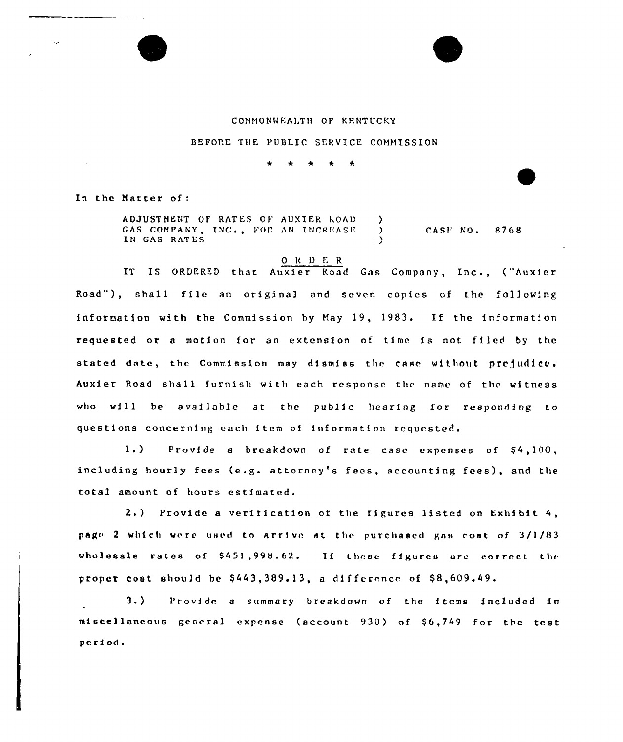

BEFORE THE PUBLIC SERVICE COMMISSION

In the Matter of:

ADJUSTMENT OF RATES OF AUXIER KOAD GAS COMPANY, INC., FOR AN INCREASE IN GAS RATES CASE NO. 8768

## ORDER

IT IS ORDERED that Auxier Road Gas Company, Inc., ("Auxier Road" ), shall file an original and seven copies of the following information with the Commission by Hay 19, 1983. If the information requested or <sup>a</sup> motion for an extension of time is not filed by the stated date, the Commission may dismiss the case without prejudice. Auxier Poad shall furnish with each response the name of the witness who will be available at the public hearing for responding to questions concerning each item of information requested.

1.) Provide a breakdown of rate case expenses of  $$4,100,$ including hourly fees (e.g. attorney's fees, accounting fees), and the total amount of hours estimated.

2.) Provide <sup>a</sup> verification of the figures listed on Exhibit page 2 which were used to arrive at the purchased gas cost of 3/1/83 wholesale rates of  $$451,998.62$ . If these figures are correct the proper cost should be  $$443,389.13$ , a difference of  $$8,609.49$ .

3.) Provide <sup>a</sup> summary breakdown of the items included in miscellaneous general expense (sccount 930) nf 56,749 for the test period.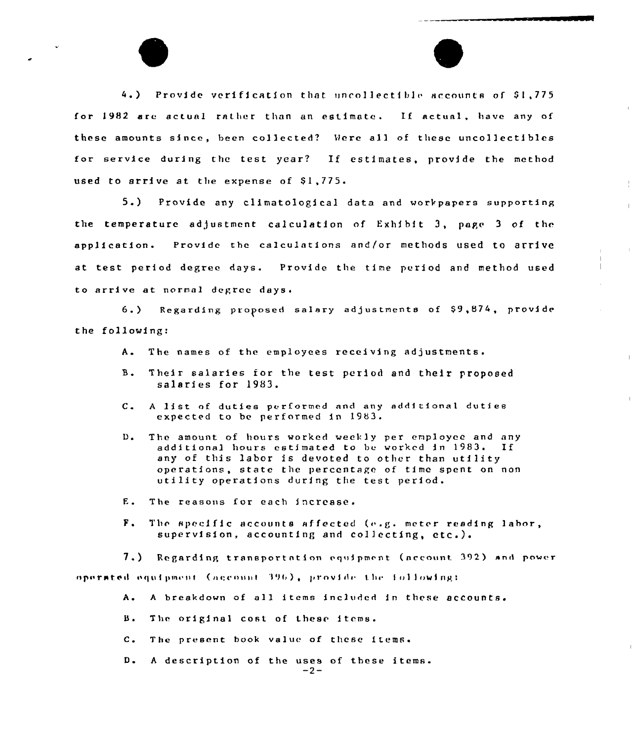4.) Provide verification that uncollectible accounts of \$1,775 for 1982 are actual rather than an estimate. If actual, have any of these amounts since, been collected? Were all of these uncollectibles for service during the test year? If estimates, provide the method used to arrive at the expense of \$1,775.

 $5.$ Provide any climatological data and workpapers supporting the temperature adjustment calculation of Exhibit 3, page 3 of the application. Provide the calculations and/or methods used to arrive at test period degree days. Provide the time period and method used to arrive at normal degree days.

Regarding proposed salary adjustments of \$9,874, provide  $6.$ the following:

- The names of the employces receiving adjustments.  $A_{\bullet}$
- $B$ . Their salaries for the test period and their proposed salaries for 1983.
- A list of duties performed and any additional duties  $c_{\bullet}$ expected to be performed in 1983.
- The amount of hours worked weekly per employee and any  $D_{\bullet}$ additional hours estimated to be worked in 1983. If any of this labor is devoted to other than utility operations, state the percentage of time spent on non utility operations during the test period.
- E. The reasons for each increase.
- $F_{\bullet}$ The specific accounts affected (e.g. meter reading labor, supervision, accounting and collecting, etc.).

7.) Regarding transportation equipment (account 392) and power operated equipment (account 396), provide the following:

- A breakdown of all items included in these accounts.  $A.$
- В. The original cost of these items.
- The present book value of these items.  $c$ .
- A description of the uses of these items. D.  $-2-$